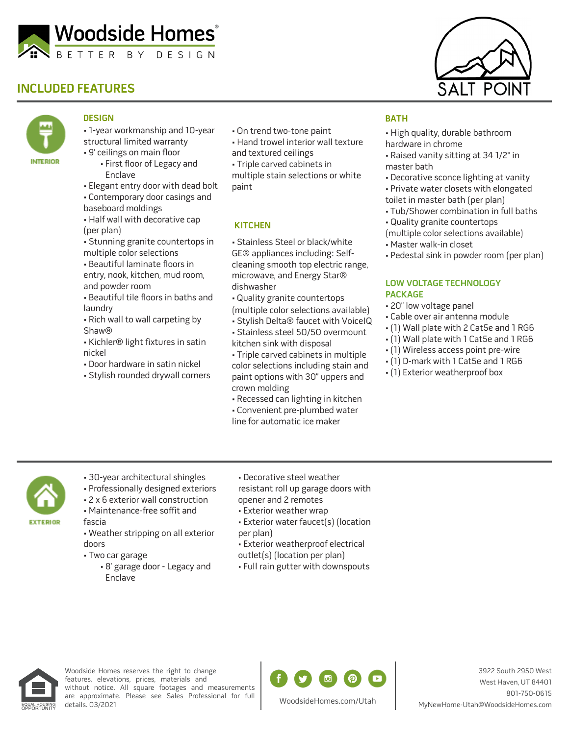

## **INCLUDED FEATURES**



### **DESIGN**

- 1-year workmanship and 10-year structural limited warranty
- 9' ceilings on main floor
- First floor of Legacy and Enclave
- Elegant entry door with dead bolt
- Contemporary door casings and
- baseboard moldings
- Half wall with decorative cap (per plan)
- Stunning granite countertops in multiple color selections
- Beautiful laminate floors in entry, nook, kitchen, mud room, and powder room
- Beautiful tile floors in baths and laundry
- Rich wall to wall carpeting by Shaw®
- Kichler® light fixtures in satin nickel
- Door hardware in satin nickel
- Stylish rounded drywall corners
- On trend two-tone paint
- Hand trowel interior wall texture
- and textured ceilings
- Triple carved cabinets in multiple stain selections or white paint

#### **KITCHEN**

- Stainless Steel or black/white GE® appliances including: Selfcleaning smooth top electric range, microwave, and Energy Star® dishwasher
- Quality granite countertops
- (multiple color selections available)
- Stylish Delta® faucet with VoiceIQ
- Stainless steel 50/50 overmount kitchen sink with disposal
- Triple carved cabinets in multiple color selections including stain and paint options with 30" uppers and crown molding
- Recessed can lighting in kitchen • Convenient pre-plumbed water
- line for automatic ice maker



#### **BATH**

- High quality, durable bathroom hardware in chrome
- Raised vanity sitting at 34 1/2" in master bath
- Decorative sconce lighting at vanity
- Private water closets with elongated toilet in master bath (per plan)
- Tub/Shower combination in full baths
- Quality granite countertops
- (multiple color selections available)
- Master walk-in closet
- Pedestal sink in powder room (per plan)

#### **LOW VOLTAGE TECHNOLOGY PACKAGE**

- 20" low voltage panel
- Cable over air antenna module
- (1) Wall plate with 2 Cat5e and 1 RG6
- (1) Wall plate with 1 Cat5e and 1 RG6
- (1) Wireless access point pre-wire
- (1) D-mark with 1 Cat5e and 1 RG6
- (1) Exterior weatherproof box

- **EXTERIOR**
- 30-year architectural shingles
- Professionally designed exteriors
- 2 x 6 exterior wall construction
- Maintenance-free soffit and
- fascia • Weather stripping on all exterior
- doors • Two car garage
	- 8' garage door Legacy and Enclave
- Decorative steel weather resistant roll up garage doors with opener and 2 remotes
- Exterior weather wrap
- Exterior water faucet(s) (location per plan)
- Exterior weatherproof electrical outlet(s) (location per plan)
- Full rain gutter with downspouts



Woodside Homes reserves the right to change features, elevations, prices, materials and without notice. All square footages and measurements are approximate. Please see Sales Professional for full details. 03/2021



3922 South 2950 West West Haven, UT 84401 801-750-0615 MyNewHome-Utah@WoodsideHomes.com